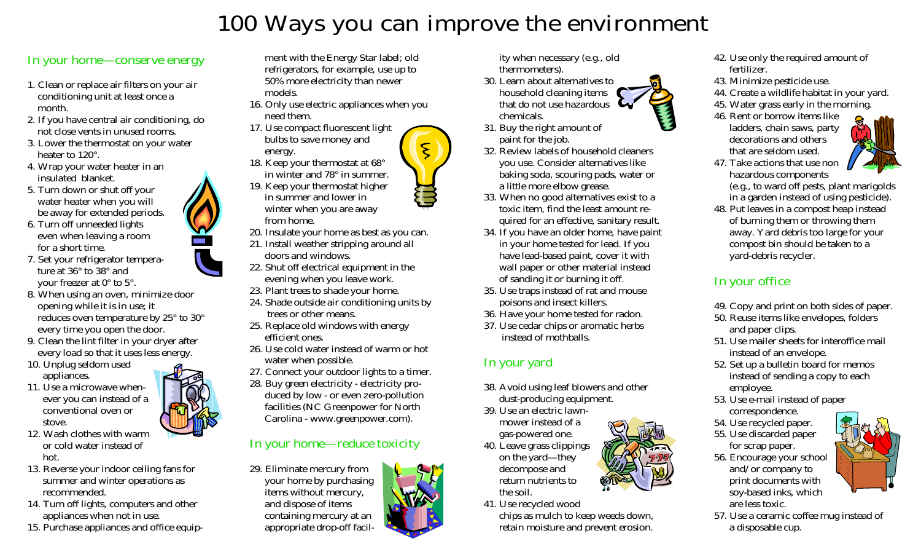# 100 Ways you can improve the environment

- 
- 
- 
- 
- 
- 
- 
- 
- 
- 
- -
- 
- 
- 

 ment with the Energy Star label; old refrigerators, for example, use up to 50% more electricity than newer models.

- 16. Only use electric appliances when you need them.
- 17. Use compact fluorescent light bulbs to save money and energy. 18. Keep your thermostat at 68°
- in winter and 78° in summer. 19. Keep your thermostat higher
- in summer and lower in winter when you are away from home.
- 20. Insulate your home as best as you can.
- 21. Install weather stripping around all doors and windows.
- 22. Shut off electrical equipment in the evening when you leave work.
- 23. Plant trees to shade your home.
- 24. Shade outside air conditioning units by trees or other means.
- 25. Replace old windows with energy efficient ones.
- 26. Use cold water instead of warm or hot water when possible.
- 27. Connect your outdoor lights to a timer.
- 28. Buy green electricity electricity pro duced by low - or even zero-pollution facilities (NC Greenpower for North Carolina - www.greenpower.com).

## In your home—reduce toxicity

29. Eliminate mercury from your home by purchasing items without mercury, and dispose of items containing mercury at an appropriate drop-off facil-

- 
- 
- 
- 
- 
- 
- 
- 

- 
- 
- -
- 
- 
- 
- 
- 



In our conserver control of the signal state of the signal state of the signal state of the signal state of the signal state of the signal state of the signal state of the signal state of the signal state of the signal st

- 
- 
- 
- 
- 
- 
- 
-